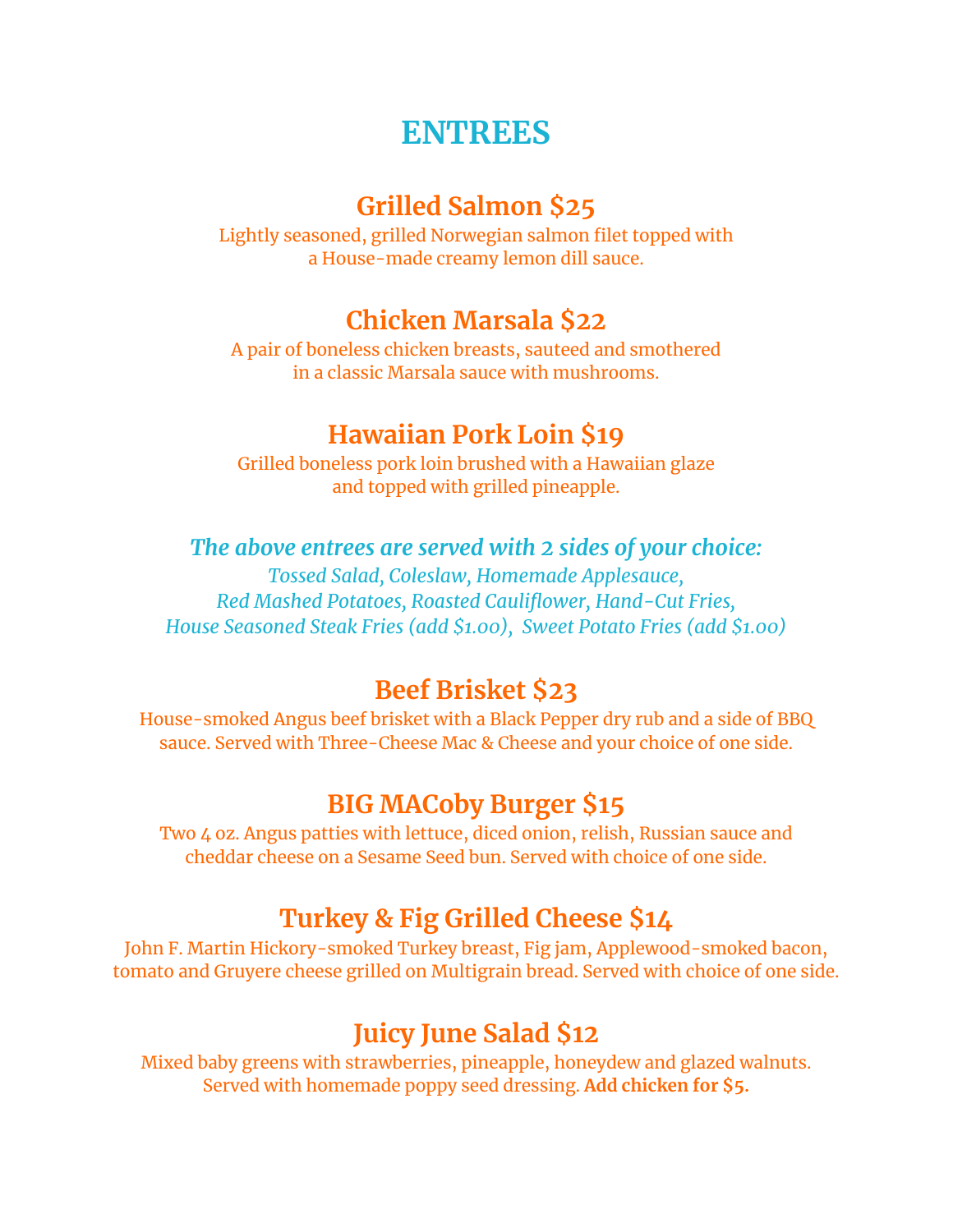# **ENTREES**

# **Grilled Salmon \$25**

Lightly seasoned, grilled Norwegian salmon filet topped with a House-made creamy lemon dill sauce.

# **Chicken Marsala \$22**

A pair of boneless chicken breasts, sauteed and smothered in a classic Marsala sauce with mushrooms.

## **Hawaiian Pork Loin \$19**

Grilled boneless pork loin brushed with a Hawaiian glaze and topped with grilled pineapple.

#### *The above entrees are served with 2 sides of your choice:*

*Tossed Salad, Coleslaw, Homemade Applesauce, Red Mashed Potatoes, Roasted Cauliflower, Hand-Cut Fries, House Seasoned Steak Fries (add \$1.00), Sweet Potato Fries (add \$1.00)*

# **Beef Brisket \$23**

House-smoked Angus beef brisket with a Black Pepper dry rub and a side of BBQ sauce. Served with Three-Cheese Mac & Cheese and your choice of one side.

## **BIG MACoby Burger \$15**

Two 4 oz. Angus patties with lettuce, diced onion, relish, Russian sauce and cheddar cheese on a Sesame Seed bun. Served with choice of one side.

# **Turkey & Fig Grilled Cheese \$14**

John F. Martin Hickory-smoked Turkey breast, Fig jam, Applewood-smoked bacon, tomato and Gruyere cheese grilled on Multigrain bread. Served with choice of one side.

# **Juicy June Salad \$12**

Mixed baby greens with strawberries, pineapple, honeydew and glazed walnuts. Served with homemade poppy seed dressing. **Add chicken for \$5.**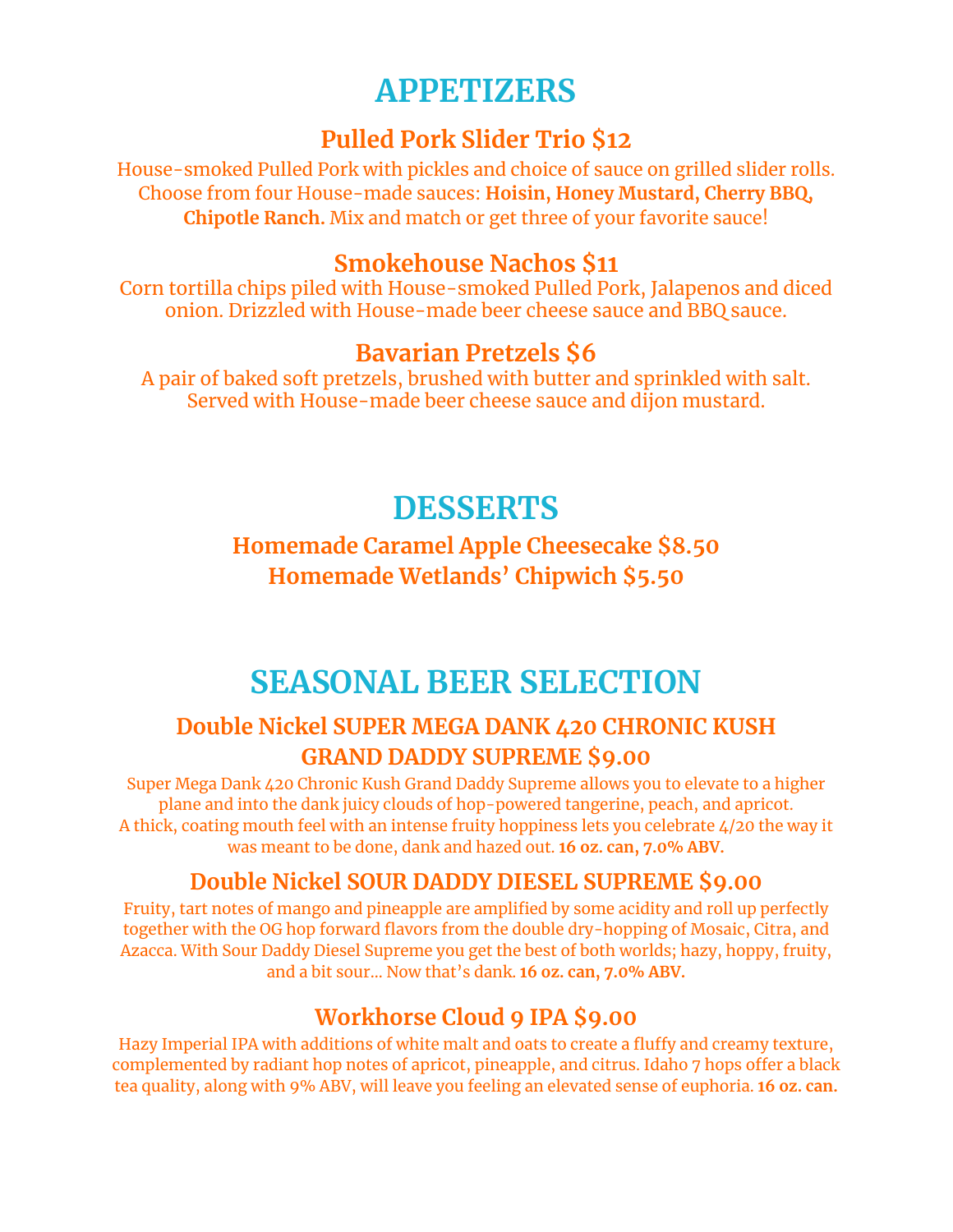# **APPETIZERS**

# **Pulled Pork Slider Trio \$12**

House-smoked Pulled Pork with pickles and choice of sauce on grilled slider rolls. Choose from four House-made sauces: **Hoisin, Honey Mustard, Cherry BBQ, Chipotle Ranch.** Mix and match or get three of your favorite sauce!

#### **Smokehouse Nachos \$11**

Corn tortilla chips piled with House-smoked Pulled Pork, Jalapenos and diced onion. Drizzled with House-made beer cheese sauce and BBQ sauce.

### **Bavarian Pretzels \$6**

A pair of baked soft pretzels, brushed with butter and sprinkled with salt. Served with House-made beer cheese sauce and dijon mustard.

# **DESSERTS**

**Homemade Caramel Apple Cheesecake \$8.50 Homemade Wetlands' Chipwich \$5.50**

# **SEASONAL BEER SELECTION**

### **Double Nickel SUPER MEGA DANK 420 CHRONIC KUSH GRAND DADDY SUPREME \$9.00**

Super Mega Dank 420 Chronic Kush Grand Daddy Supreme allows you to elevate to a higher plane and into the dank juicy clouds of hop-powered tangerine, peach, and apricot. A thick, coating mouth feel with an intense fruity hoppiness lets you celebrate 4/20 the way it was meant to be done, dank and hazed out. **16 oz. can, 7.0% ABV.**

## **Double Nickel SOUR DADDY DIESEL SUPREME \$9.00**

Fruity, tart notes of mango and pineapple are amplified by some acidity and roll up perfectly together with the OG hop forward flavors from the double dry-hopping of Mosaic, Citra, and Azacca. With Sour Daddy Diesel Supreme you get the best of both worlds; hazy, hoppy, fruity, and a bit sour… Now that's dank. **16 oz. can, 7.0% ABV.**

## **Workhorse Cloud 9 IPA \$9.00**

Hazy Imperial IPA with additions of white malt and oats to create a fluffy and creamy texture, complemented by radiant hop notes of apricot, pineapple, and citrus. Idaho 7 hops offer a black tea quality, along with 9% ABV, will leave you feeling an elevated sense of euphoria. **16 oz. can.**